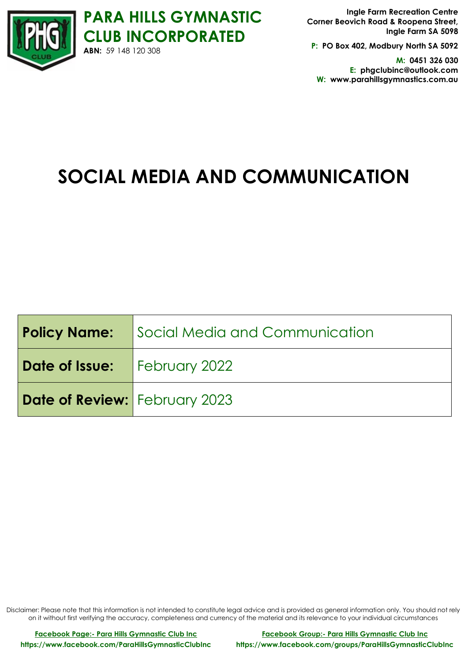

**P: PO Box 402, Modbury North SA 5092**

**M: 0451 326 030 E: phgclubinc@outlook.com W: www.parahillsgymnastics.com.au**

# **SOCIAL MEDIA AND COMMUNICATION**

|                                      | <b>Policy Name:</b> Social Media and Communication |
|--------------------------------------|----------------------------------------------------|
| Date of Issue:   February 2022       |                                                    |
| <b>Date of Review:</b> February 2023 |                                                    |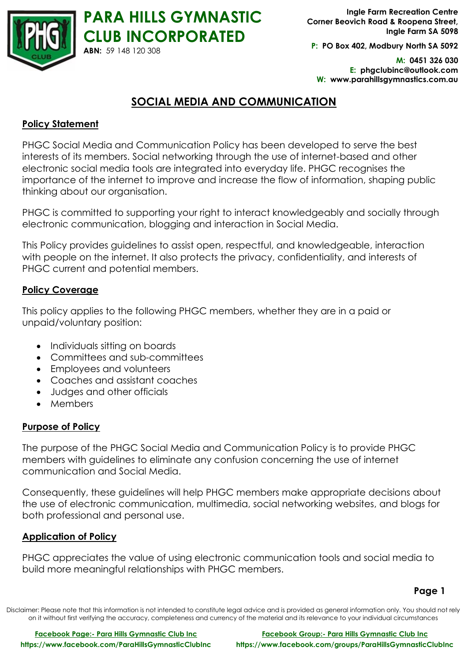

**P: PO Box 402, Modbury North SA 5092**

**M: 0451 326 030 E: phgclubinc@outlook.com W: www.parahillsgymnastics.com.au**

# **SOCIAL MEDIA AND COMMUNICATION**

## **Policy Statement**

PHGC Social Media and Communication Policy has been developed to serve the best interests of its members. Social networking through the use of internet-based and other electronic social media tools are integrated into everyday life. PHGC recognises the importance of the internet to improve and increase the flow of information, shaping public thinking about our organisation.

PHGC is committed to supporting your right to interact knowledgeably and socially through electronic communication, blogging and interaction in Social Media.

This Policy provides guidelines to assist open, respectful, and knowledgeable, interaction with people on the internet. It also protects the privacy, confidentiality, and interests of PHGC current and potential members.

#### **Policy Coverage**

This policy applies to the following PHGC members, whether they are in a paid or unpaid/voluntary position:

- Individuals sitting on boards
- Committees and sub-committees
- Employees and volunteers
- Coaches and assistant coaches
- Judges and other officials
- Members

# **Purpose of Policy**

The purpose of the PHGC Social Media and Communication Policy is to provide PHGC members with guidelines to eliminate any confusion concerning the use of internet communication and Social Media.

Consequently, these guidelines will help PHGC members make appropriate decisions about the use of electronic communication, multimedia, social networking websites, and blogs for both professional and personal use.

#### **Application of Policy**

PHGC appreciates the value of using electronic communication tools and social media to build more meaningful relationships with PHGC members.

#### **Page 1**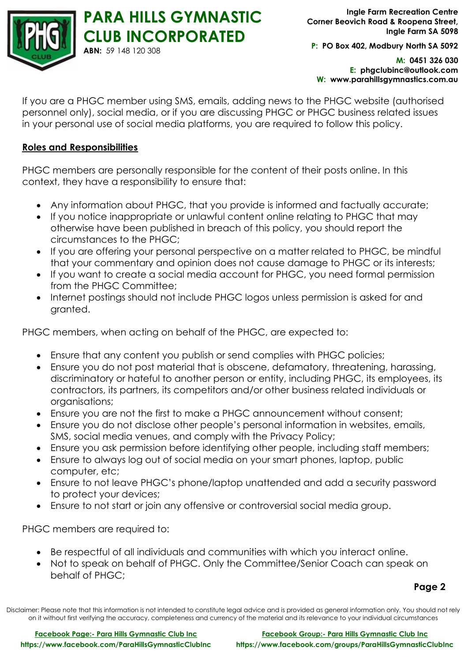

**P: PO Box 402, Modbury North SA 5092**

**M: 0451 326 030 E: phgclubinc@outlook.com W: www.parahillsgymnastics.com.au**

If you are a PHGC member using SMS, emails, adding news to the PHGC website (authorised personnel only), social media, or if you are discussing PHGC or PHGC business related issues in your personal use of social media platforms, you are required to follow this policy.

#### **Roles and Responsibilities**

PHGC members are personally responsible for the content of their posts online. In this context, they have a responsibility to ensure that:

- Any information about PHGC, that you provide is informed and factually accurate;
- If you notice inappropriate or unlawful content online relating to PHGC that may otherwise have been published in breach of this policy, you should report the circumstances to the PHGC;
- If you are offering your personal perspective on a matter related to PHGC, be mindful that your commentary and opinion does not cause damage to PHGC or its interests;
- If you want to create a social media account for PHGC, you need formal permission from the PHGC Committee;
- Internet postings should not include PHGC logos unless permission is asked for and granted.

PHGC members, when acting on behalf of the PHGC, are expected to:

- Ensure that any content you publish or send complies with PHGC policies;
- Ensure you do not post material that is obscene, defamatory, threatening, harassing, discriminatory or hateful to another person or entity, including PHGC, its employees, its contractors, its partners, its competitors and/or other business related individuals or organisations;
- Ensure you are not the first to make a PHGC announcement without consent;
- Ensure you do not disclose other people's personal information in websites, emails, SMS, social media venues, and comply with the Privacy Policy;
- Ensure you ask permission before identifying other people, including staff members;
- Ensure to always log out of social media on your smart phones, laptop, public computer, etc;
- Ensure to not leave PHGC's phone/laptop unattended and add a security password to protect your devices;
- Ensure to not start or join any offensive or controversial social media group.

PHGC members are required to:

- Be respectful of all individuals and communities with which you interact online.
- Not to speak on behalf of PHGC. Only the Committee/Senior Coach can speak on behalf of PHGC;

**Page 2**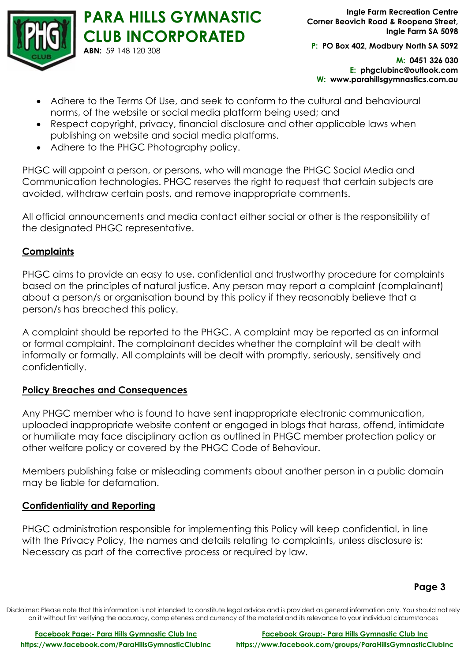

**P: PO Box 402, Modbury North SA 5092**

**M: 0451 326 030 E: phgclubinc@outlook.com W: www.parahillsgymnastics.com.au**

- Adhere to the Terms Of Use, and seek to conform to the cultural and behavioural norms, of the website or social media platform being used; and
- Respect copyright, privacy, financial disclosure and other applicable laws when publishing on website and social media platforms.
- Adhere to the PHGC Photography policy.

PHGC will appoint a person, or persons, who will manage the PHGC Social Media and Communication technologies. PHGC reserves the right to request that certain subjects are avoided, withdraw certain posts, and remove inappropriate comments.

All official announcements and media contact either social or other is the responsibility of the designated PHGC representative.

## **Complaints**

PHGC aims to provide an easy to use, confidential and trustworthy procedure for complaints based on the principles of natural justice. Any person may report a complaint (complainant) about a person/s or organisation bound by this policy if they reasonably believe that a person/s has breached this policy.

A complaint should be reported to the PHGC. A complaint may be reported as an informal or formal complaint. The complainant decides whether the complaint will be dealt with informally or formally. All complaints will be dealt with promptly, seriously, sensitively and confidentially.

#### **Policy Breaches and Consequences**

Any PHGC member who is found to have sent inappropriate electronic communication, uploaded inappropriate website content or engaged in blogs that harass, offend, intimidate or humiliate may face disciplinary action as outlined in PHGC member protection policy or other welfare policy or covered by the PHGC Code of Behaviour.

Members publishing false or misleading comments about another person in a public domain may be liable for defamation.

# **Confidentiality and Reporting**

PHGC administration responsible for implementing this Policy will keep confidential, in line with the Privacy Policy, the names and details relating to complaints, unless disclosure is: Necessary as part of the corrective process or required by law.

#### **Page 3**